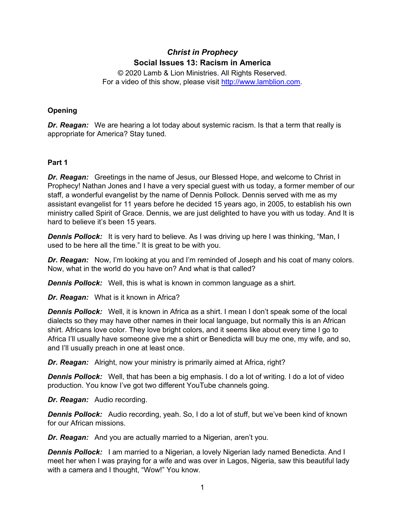# *Christ in Prophecy* **Social Issues 13: Racism in America**

© 2020 Lamb & Lion Ministries. All Rights Reserved. For a video of this show, please visit [http://www.lamblion.com.](http://www.lamblion.com/)

# **Opening**

*Dr. Reagan:* We are hearing a lot today about systemic racism. Is that a term that really is appropriate for America? Stay tuned.

# **Part 1**

*Dr. Reagan:* Greetings in the name of Jesus, our Blessed Hope, and welcome to Christ in Prophecy! Nathan Jones and I have a very special guest with us today, a former member of our staff, a wonderful evangelist by the name of Dennis Pollock. Dennis served with me as my assistant evangelist for 11 years before he decided 15 years ago, in 2005, to establish his own ministry called Spirit of Grace. Dennis, we are just delighted to have you with us today. And It is hard to believe it's been 15 years.

**Dennis Pollock:** It is very hard to believe. As I was driving up here I was thinking, "Man, I used to be here all the time." It is great to be with you.

*Dr. Reagan:* Now, I'm looking at you and I'm reminded of Joseph and his coat of many colors. Now, what in the world do you have on? And what is that called?

*Dennis Pollock:* Well, this is what is known in common language as a shirt.

*Dr. Reagan:* What is it known in Africa?

*Dennis Pollock:* Well, it is known in Africa as a shirt. I mean I don't speak some of the local dialects so they may have other names in their local language, but normally this is an African shirt. Africans love color. They love bright colors, and it seems like about every time I go to Africa I'll usually have someone give me a shirt or Benedicta will buy me one, my wife, and so, and I'll usually preach in one at least once.

*Dr. Reagan:* Alright, now your ministry is primarily aimed at Africa, right?

*Dennis Pollock:* Well, that has been a big emphasis. I do a lot of writing. I do a lot of video production. You know I've got two different YouTube channels going.

*Dr. Reagan:* Audio recording.

**Dennis Pollock:** Audio recording, yeah. So, I do a lot of stuff, but we've been kind of known for our African missions.

*Dr. Reagan:* And you are actually married to a Nigerian, aren't you.

*Dennis Pollock:* I am married to a Nigerian, a lovely Nigerian lady named Benedicta. And I meet her when I was praying for a wife and was over in Lagos, Nigeria, saw this beautiful lady with a camera and I thought, "Wow!" You know.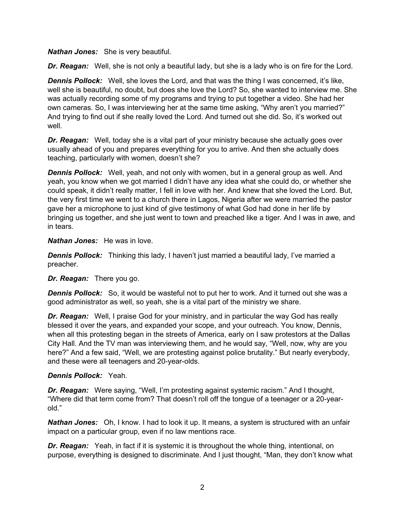*Nathan Jones:* She is very beautiful.

*Dr. Reagan:* Well, she is not only a beautiful lady, but she is a lady who is on fire for the Lord.

*Dennis Pollock:* Well, she loves the Lord, and that was the thing I was concerned, it's like, well she is beautiful, no doubt, but does she love the Lord? So, she wanted to interview me. She was actually recording some of my programs and trying to put together a video. She had her own cameras. So, I was interviewing her at the same time asking, "Why aren't you married?" And trying to find out if she really loved the Lord. And turned out she did. So, it's worked out well.

*Dr. Reagan:* Well, today she is a vital part of your ministry because she actually goes over usually ahead of you and prepares everything for you to arrive. And then she actually does teaching, particularly with women, doesn't she?

*Dennis Pollock:* Well, yeah, and not only with women, but in a general group as well. And yeah, you know when we got married I didn't have any idea what she could do, or whether she could speak, it didn't really matter, I fell in love with her. And knew that she loved the Lord. But, the very first time we went to a church there in Lagos, Nigeria after we were married the pastor gave her a microphone to just kind of give testimony of what God had done in her life by bringing us together, and she just went to town and preached like a tiger. And I was in awe, and in tears.

*Nathan Jones:* He was in love.

*Dennis Pollock:* Thinking this lady, I haven't just married a beautiful lady, I've married a preacher.

# *Dr. Reagan:* There you go.

*Dennis Pollock:* So, it would be wasteful not to put her to work. And it turned out she was a good administrator as well, so yeah, she is a vital part of the ministry we share.

**Dr. Reagan:** Well, I praise God for your ministry, and in particular the way God has really blessed it over the years, and expanded your scope, and your outreach. You know, Dennis, when all this protesting began in the streets of America, early on I saw protestors at the Dallas City Hall. And the TV man was interviewing them, and he would say, "Well, now, why are you here?" And a few said, "Well, we are protesting against police brutality." But nearly everybody, and these were all teenagers and 20-year-olds.

# *Dennis Pollock:* Yeah.

*Dr. Reagan:* Were saying, "Well, I'm protesting against systemic racism." And I thought, "Where did that term come from? That doesn't roll off the tongue of a teenager or a 20-yearold."

*Nathan Jones:* Oh, I know. I had to look it up. It means, a system is structured with an unfair impact on a particular group, even if no law mentions race.

*Dr. Reagan:* Yeah, in fact if it is systemic it is throughout the whole thing, intentional, on purpose, everything is designed to discriminate. And I just thought, "Man, they don't know what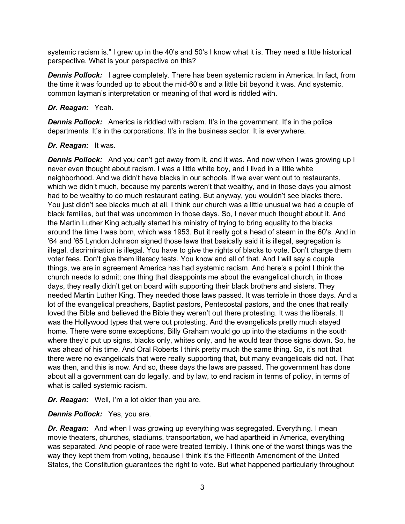systemic racism is." I grew up in the 40's and 50's I know what it is. They need a little historical perspective. What is your perspective on this?

**Dennis Pollock:** I agree completely. There has been systemic racism in America. In fact, from the time it was founded up to about the mid-60's and a little bit beyond it was. And systemic, common layman's interpretation or meaning of that word is riddled with.

# *Dr. Reagan:* Yeah.

**Dennis Pollock:** America is riddled with racism. It's in the government. It's in the police departments. It's in the corporations. It's in the business sector. It is everywhere.

# *Dr. Reagan:* It was.

**Dennis Pollock:** And you can't get away from it, and it was. And now when I was growing up I never even thought about racism. I was a little white boy, and I lived in a little white neighborhood. And we didn't have blacks in our schools. If we ever went out to restaurants, which we didn't much, because my parents weren't that wealthy, and in those days you almost had to be wealthy to do much restaurant eating. But anyway, you wouldn't see blacks there. You just didn't see blacks much at all. I think our church was a little unusual we had a couple of black families, but that was uncommon in those days. So, I never much thought about it. And the Martin Luther King actually started his ministry of trying to bring equality to the blacks around the time I was born, which was 1953. But it really got a head of steam in the 60's. And in '64 and '65 Lyndon Johnson signed those laws that basically said it is illegal, segregation is illegal, discrimination is illegal. You have to give the rights of blacks to vote. Don't charge them voter fees. Don't give them literacy tests. You know and all of that. And I will say a couple things, we are in agreement America has had systemic racism. And here's a point I think the church needs to admit; one thing that disappoints me about the evangelical church, in those days, they really didn't get on board with supporting their black brothers and sisters. They needed Martin Luther King. They needed those laws passed. It was terrible in those days. And a lot of the evangelical preachers, Baptist pastors, Pentecostal pastors, and the ones that really loved the Bible and believed the Bible they weren't out there protesting. It was the liberals. It was the Hollywood types that were out protesting. And the evangelicals pretty much stayed home. There were some exceptions, Billy Graham would go up into the stadiums in the south where they'd put up signs, blacks only, whites only, and he would tear those signs down. So, he was ahead of his time. And Oral Roberts I think pretty much the same thing. So, it's not that there were no evangelicals that were really supporting that, but many evangelicals did not. That was then, and this is now. And so, these days the laws are passed. The government has done about all a government can do legally, and by law, to end racism in terms of policy, in terms of what is called systemic racism.

*Dr. Reagan:* Well, I'm a lot older than you are.

# *Dennis Pollock:* Yes, you are.

**Dr. Reagan:** And when I was growing up everything was segregated. Everything. I mean movie theaters, churches, stadiums, transportation, we had apartheid in America, everything was separated. And people of race were treated terribly. I think one of the worst things was the way they kept them from voting, because I think it's the Fifteenth Amendment of the United States, the Constitution guarantees the right to vote. But what happened particularly throughout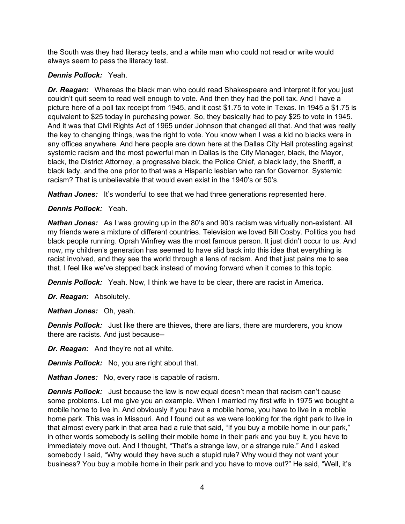the South was they had literacy tests, and a white man who could not read or write would always seem to pass the literacy test.

# *Dennis Pollock:* Yeah.

*Dr. Reagan:* Whereas the black man who could read Shakespeare and interpret it for you just couldn't quit seem to read well enough to vote. And then they had the poll tax. And I have a picture here of a poll tax receipt from 1945, and it cost \$1.75 to vote in Texas. In 1945 a \$1.75 is equivalent to \$25 today in purchasing power. So, they basically had to pay \$25 to vote in 1945. And it was that Civil Rights Act of 1965 under Johnson that changed all that. And that was really the key to changing things, was the right to vote. You know when I was a kid no blacks were in any offices anywhere. And here people are down here at the Dallas City Hall protesting against systemic racism and the most powerful man in Dallas is the City Manager, black, the Mayor, black, the District Attorney, a progressive black, the Police Chief, a black lady, the Sheriff, a black lady, and the one prior to that was a Hispanic lesbian who ran for Governor. Systemic racism? That is unbelievable that would even exist in the 1940's or 50's.

*Nathan Jones:* It's wonderful to see that we had three generations represented here.

# *Dennis Pollock:* Yeah.

**Nathan Jones:** As I was growing up in the 80's and 90's racism was virtually non-existent. All my friends were a mixture of different countries. Television we loved Bill Cosby. Politics you had black people running. Oprah Winfrey was the most famous person. It just didn't occur to us. And now, my children's generation has seemed to have slid back into this idea that everything is racist involved, and they see the world through a lens of racism. And that just pains me to see that. I feel like we've stepped back instead of moving forward when it comes to this topic.

*Dennis Pollock:* Yeah. Now, I think we have to be clear, there are racist in America.

*Dr. Reagan:* Absolutely.

*Nathan Jones:* Oh, yeah.

**Dennis Pollock:** Just like there are thieves, there are liars, there are murderers, you know there are racists. And just because--

*Dr. Reagan:* And they're not all white.

*Dennis Pollock:* No, you are right about that.

*Nathan Jones:* No, every race is capable of racism.

*Dennis Pollock:* Just because the law is now equal doesn't mean that racism can't cause some problems. Let me give you an example. When I married my first wife in 1975 we bought a mobile home to live in. And obviously if you have a mobile home, you have to live in a mobile home park. This was in Missouri. And I found out as we were looking for the right park to live in that almost every park in that area had a rule that said, "If you buy a mobile home in our park," in other words somebody is selling their mobile home in their park and you buy it, you have to immediately move out. And I thought, "That's a strange law, or a strange rule." And I asked somebody I said, "Why would they have such a stupid rule? Why would they not want your business? You buy a mobile home in their park and you have to move out?" He said, "Well, it's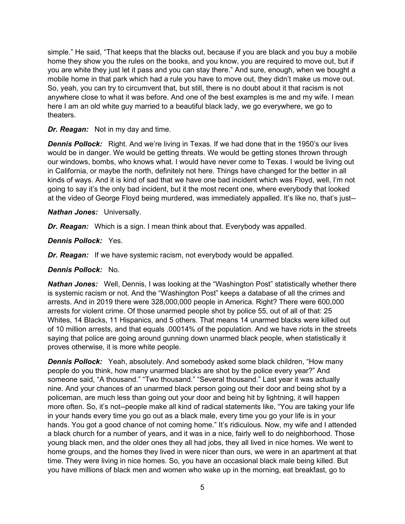simple." He said, "That keeps that the blacks out, because if you are black and you buy a mobile home they show you the rules on the books, and you know, you are required to move out, but if you are white they just let it pass and you can stay there." And sure, enough, when we bought a mobile home in that park which had a rule you have to move out, they didn't make us move out. So, yeah, you can try to circumvent that, but still, there is no doubt about it that racism is not anywhere close to what it was before. And one of the best examples is me and my wife. I mean here I am an old white guy married to a beautiful black lady, we go everywhere, we go to theaters.

### *Dr. Reagan:* Not in my day and time.

**Dennis Pollock:** Right. And we're living in Texas. If we had done that in the 1950's our lives would be in danger. We would be getting threats. We would be getting stones thrown through our windows, bombs, who knows what. I would have never come to Texas. I would be living out in California, or maybe the north, definitely not here. Things have changed for the better in all kinds of ways. And it is kind of sad that we have one bad incident which was Floyd, well, I'm not going to say it's the only bad incident, but it the most recent one, where everybody that looked at the video of George Floyd being murdered, was immediately appalled. It's like no, that's just--

*Nathan Jones:* Universally.

*Dr. Reagan:* Which is a sign. I mean think about that. Everybody was appalled.

*Dennis Pollock:* Yes.

*Dr. Reagan:* If we have systemic racism, not everybody would be appalled.

#### *Dennis Pollock:* No.

*Nathan Jones:* Well, Dennis, I was looking at the "Washington Post" statistically whether there is systemic racism or not. And the "Washington Post" keeps a database of all the crimes and arrests. And in 2019 there were 328,000,000 people in America. Right? There were 600,000 arrests for violent crime. Of those unarmed people shot by police 55, out of all of that: 25 Whites, 14 Blacks, 11 Hispanics, and 5 others. That means 14 unarmed blacks were killed out of 10 million arrests, and that equals .00014% of the population. And we have riots in the streets saying that police are going around gunning down unarmed black people, when statistically it proves otherwise, it is more white people.

*Dennis Pollock:* Yeah, absolutely. And somebody asked some black children, "How many people do you think, how many unarmed blacks are shot by the police every year?" And someone said, "A thousand." "Two thousand." "Several thousand." Last year it was actually nine. And your chances of an unarmed black person going out their door and being shot by a policeman, are much less than going out your door and being hit by lightning, it will happen more often. So, it's not--people make all kind of radical statements like, "You are taking your life in your hands every time you go out as a black male, every time you go your life is in your hands. You got a good chance of not coming home." It's ridiculous. Now, my wife and I attended a black church for a number of years, and it was in a nice, fairly well to do neighborhood. Those young black men, and the older ones they all had jobs, they all lived in nice homes. We went to home groups, and the homes they lived in were nicer than ours, we were in an apartment at that time. They were living in nice homes. So, you have an occasional black male being killed. But you have millions of black men and women who wake up in the morning, eat breakfast, go to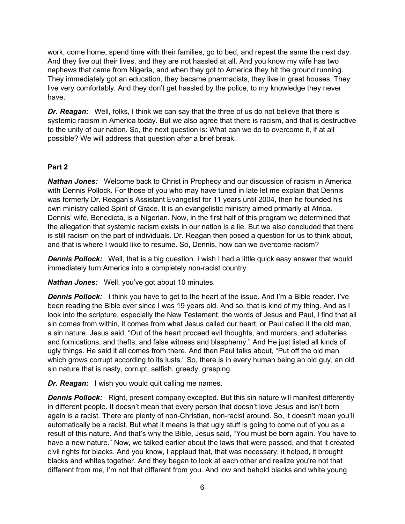work, come home, spend time with their families, go to bed, and repeat the same the next day. And they live out their lives, and they are not hassled at all. And you know my wife has two nephews that came from Nigeria, and when they got to America they hit the ground running. They immediately got an education, they became pharmacists, they live in great houses. They live very comfortably. And they don't get hassled by the police, to my knowledge they never have.

*Dr. Reagan:* Well, folks, I think we can say that the three of us do not believe that there is systemic racism in America today. But we also agree that there is racism, and that is destructive to the unity of our nation. So, the next question is: What can we do to overcome it, if at all possible? We will address that question after a brief break.

# **Part 2**

*Nathan Jones:* Welcome back to Christ in Prophecy and our discussion of racism in America with Dennis Pollock. For those of you who may have tuned in late let me explain that Dennis was formerly Dr. Reagan's Assistant Evangelist for 11 years until 2004, then he founded his own ministry called Spirit of Grace. It is an evangelistic ministry aimed primarily at Africa. Dennis' wife, Benedicta, is a Nigerian. Now, in the first half of this program we determined that the allegation that systemic racism exists in our nation is a lie. But we also concluded that there is still racism on the part of individuals. Dr. Reagan then posed a question for us to think about, and that is where I would like to resume. So, Dennis, how can we overcome racism?

**Dennis Pollock:** Well, that is a big question. I wish I had a little quick easy answer that would immediately turn America into a completely non-racist country.

*Nathan Jones:* Well, you've got about 10 minutes.

*Dennis Pollock:* I think you have to get to the heart of the issue. And I'm a Bible reader. I've been reading the Bible ever since I was 19 years old. And so, that is kind of my thing. And as I look into the scripture, especially the New Testament, the words of Jesus and Paul, I find that all sin comes from within, it comes from what Jesus called our heart, or Paul called it the old man, a sin nature. Jesus said, "Out of the heart proceed evil thoughts, and murders, and adulteries and fornications, and thefts, and false witness and blasphemy." And He just listed all kinds of ugly things. He said it all comes from there. And then Paul talks about, "Put off the old man which grows corrupt according to its lusts." So, there is in every human being an old guy, an old sin nature that is nasty, corrupt, selfish, greedy, grasping.

*Dr. Reagan:* I wish you would quit calling me names.

**Dennis Pollock:** Right, present company excepted. But this sin nature will manifest differently in different people. It doesn't mean that every person that doesn't love Jesus and isn't born again is a racist. There are plenty of non-Christian, non-racist around. So, it doesn't mean you'll automatically be a racist. But what it means is that ugly stuff is going to come out of you as a result of this nature. And that's why the Bible, Jesus said, "You must be born again. You have to have a new nature." Now, we talked earlier about the laws that were passed, and that it created civil rights for blacks. And you know, I applaud that, that was necessary, it helped, it brought blacks and whites together. And they began to look at each other and realize you're not that different from me, I'm not that different from you. And low and behold blacks and white young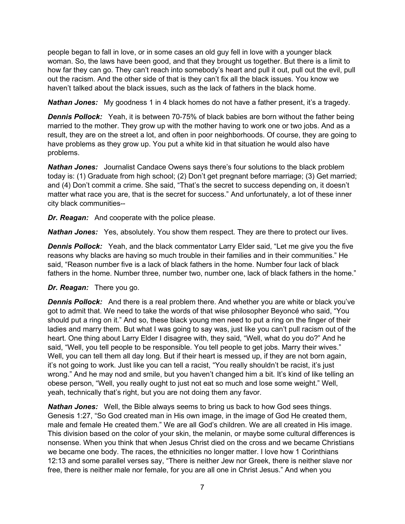people began to fall in love, or in some cases an old guy fell in love with a younger black woman. So, the laws have been good, and that they brought us together. But there is a limit to how far they can go. They can't reach into somebody's heart and pull it out, pull out the evil, pull out the racism. And the other side of that is they can't fix all the black issues. You know we haven't talked about the black issues, such as the lack of fathers in the black home.

*Nathan Jones:* My goodness 1 in 4 black homes do not have a father present, it's a tragedy.

**Dennis Pollock:** Yeah, it is between 70-75% of black babies are born without the father being married to the mother. They grow up with the mother having to work one or two jobs. And as a result, they are on the street a lot, and often in poor neighborhoods. Of course, they are going to have problems as they grow up. You put a white kid in that situation he would also have problems.

*Nathan Jones:* Journalist Candace Owens says there's four solutions to the black problem today is: (1) Graduate from high school; (2) Don't get pregnant before marriage; (3) Get married; and (4) Don't commit a crime. She said, "That's the secret to success depending on, it doesn't matter what race you are, that is the secret for success." And unfortunately, a lot of these inner city black communities--

*Dr. Reagan:* And cooperate with the police please.

*Nathan Jones:* Yes, absolutely. You show them respect. They are there to protect our lives.

*Dennis Pollock:* Yeah, and the black commentator Larry Elder said, "Let me give you the five reasons why blacks are having so much trouble in their families and in their communities." He said, "Reason number five is a lack of black fathers in the home. Number four lack of black fathers in the home. Number three, number two, number one, lack of black fathers in the home."

# *Dr. Reagan:* There you go.

**Dennis Pollock:** And there is a real problem there. And whether you are white or black you've got to admit that. We need to take the words of that wise philosopher Beyoncé who said, "You should put a ring on it." And so, these black young men need to put a ring on the finger of their ladies and marry them. But what I was going to say was, just like you can't pull racism out of the heart. One thing about Larry Elder I disagree with, they said, "Well, what do you do?" And he said, "Well, you tell people to be responsible. You tell people to get jobs. Marry their wives." Well, you can tell them all day long. But if their heart is messed up, if they are not born again, it's not going to work. Just like you can tell a racist, "You really shouldn't be racist, it's just wrong." And he may nod and smile, but you haven't changed him a bit. It's kind of like telling an obese person, "Well, you really ought to just not eat so much and lose some weight." Well, yeah, technically that's right, but you are not doing them any favor.

*Nathan Jones:* Well, the Bible always seems to bring us back to how God sees things. Genesis 1:27, "So God created man in His own image, in the image of God He created them, male and female He created them." We are all God's children. We are all created in His image. This division based on the color of your skin, the melanin, or maybe some cultural differences is nonsense. When you think that when Jesus Christ died on the cross and we became Christians we became one body. The races, the ethnicities no longer matter. I love how 1 Corinthians 12:13 and some parallel verses say, "There is neither Jew nor Greek, there is neither slave nor free, there is neither male nor female, for you are all one in Christ Jesus." And when you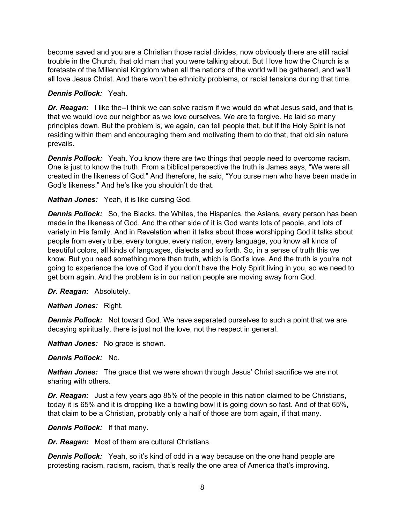become saved and you are a Christian those racial divides, now obviously there are still racial trouble in the Church, that old man that you were talking about. But I love how the Church is a foretaste of the Millennial Kingdom when all the nations of the world will be gathered, and we'll all love Jesus Christ. And there won't be ethnicity problems, or racial tensions during that time.

# *Dennis Pollock:* Yeah.

*Dr. Reagan:* I like the--I think we can solve racism if we would do what Jesus said, and that is that we would love our neighbor as we love ourselves. We are to forgive. He laid so many principles down. But the problem is, we again, can tell people that, but if the Holy Spirit is not residing within them and encouraging them and motivating them to do that, that old sin nature prevails.

*Dennis Pollock:* Yeah. You know there are two things that people need to overcome racism. One is just to know the truth. From a biblical perspective the truth is James says, "We were all created in the likeness of God." And therefore, he said, "You curse men who have been made in God's likeness." And he's like you shouldn't do that.

### *Nathan Jones:* Yeah, it is like cursing God.

*Dennis Pollock:* So, the Blacks, the Whites, the Hispanics, the Asians, every person has been made in the likeness of God. And the other side of it is God wants lots of people, and lots of variety in His family. And in Revelation when it talks about those worshipping God it talks about people from every tribe, every tongue, every nation, every language, you know all kinds of beautiful colors, all kinds of languages, dialects and so forth. So, in a sense of truth this we know. But you need something more than truth, which is God's love. And the truth is you're not going to experience the love of God if you don't have the Holy Spirit living in you, so we need to get born again. And the problem is in our nation people are moving away from God.

*Dr. Reagan:* Absolutely.

# *Nathan Jones:* Right.

**Dennis Pollock:** Not toward God. We have separated ourselves to such a point that we are decaying spiritually, there is just not the love, not the respect in general.

*Nathan Jones:* No grace is shown.

#### *Dennis Pollock:* No.

*Nathan Jones:* The grace that we were shown through Jesus' Christ sacrifice we are not sharing with others.

*Dr. Reagan:* Just a few years ago 85% of the people in this nation claimed to be Christians, today it is 65% and it is dropping like a bowling bowl it is going down so fast. And of that 65%, that claim to be a Christian, probably only a half of those are born again, if that many.

*Dennis Pollock:* If that many.

*Dr. Reagan:* Most of them are cultural Christians.

**Dennis Pollock:** Yeah, so it's kind of odd in a way because on the one hand people are protesting racism, racism, racism, that's really the one area of America that's improving.